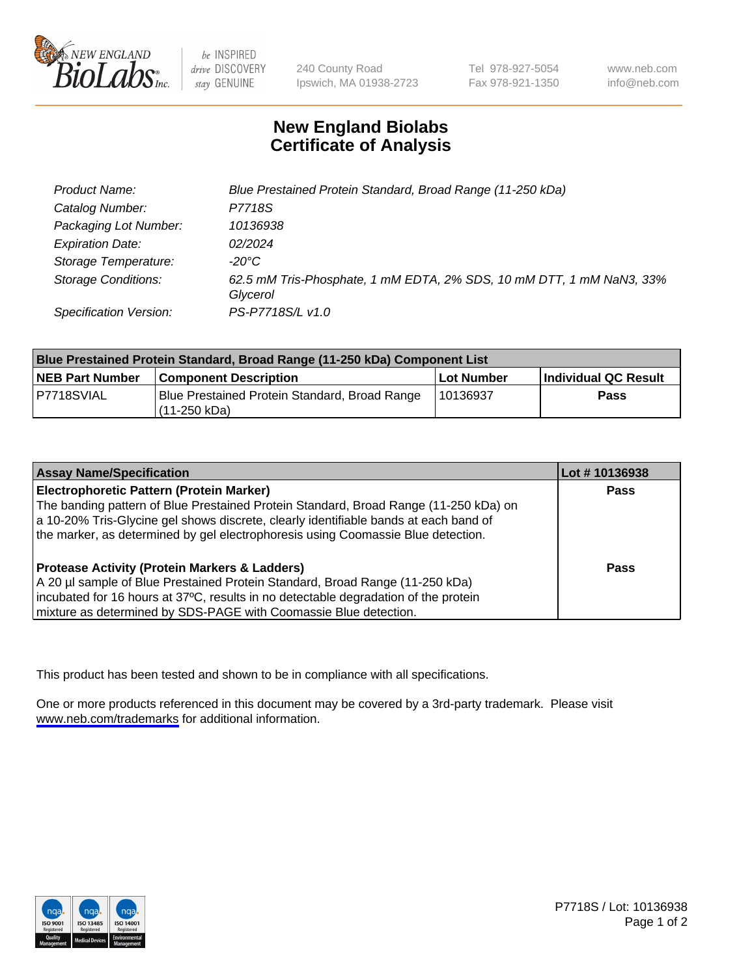

be INSPIRED drive DISCOVERY stay GENUINE

240 County Road Ipswich, MA 01938-2723 Tel 978-927-5054 Fax 978-921-1350

www.neb.com info@neb.com

## **New England Biolabs Certificate of Analysis**

| Product Name:              | Blue Prestained Protein Standard, Broad Range (11-250 kDa)                       |
|----------------------------|----------------------------------------------------------------------------------|
| Catalog Number:            | P7718S                                                                           |
| Packaging Lot Number:      | 10136938                                                                         |
| <b>Expiration Date:</b>    | 02/2024                                                                          |
| Storage Temperature:       | -20°C                                                                            |
| <b>Storage Conditions:</b> | 62.5 mM Tris-Phosphate, 1 mM EDTA, 2% SDS, 10 mM DTT, 1 mM NaN3, 33%<br>Glycerol |
| Specification Version:     | PS-P7718S/L v1.0                                                                 |

| <b>Blue Prestained Protein Standard, Broad Range (11-250 kDa) Component List</b> |                                                                 |            |                      |  |
|----------------------------------------------------------------------------------|-----------------------------------------------------------------|------------|----------------------|--|
| <b>NEB Part Number</b>                                                           | <b>Component Description</b>                                    | Lot Number | Individual QC Result |  |
| P7718SVIAL                                                                       | Blue Prestained Protein Standard, Broad Range<br>l (11-250 kDa) | l 10136937 | <b>Pass</b>          |  |

| <b>Assay Name/Specification</b>                                                      | Lot #10136938 |
|--------------------------------------------------------------------------------------|---------------|
| <b>Electrophoretic Pattern (Protein Marker)</b>                                      | <b>Pass</b>   |
| The banding pattern of Blue Prestained Protein Standard, Broad Range (11-250 kDa) on |               |
| a 10-20% Tris-Glycine gel shows discrete, clearly identifiable bands at each band of |               |
| the marker, as determined by gel electrophoresis using Coomassie Blue detection.     |               |
|                                                                                      |               |
| <b>Protease Activity (Protein Markers &amp; Ladders)</b>                             | <b>Pass</b>   |
| A 20 µl sample of Blue Prestained Protein Standard, Broad Range (11-250 kDa)         |               |
| incubated for 16 hours at 37°C, results in no detectable degradation of the protein  |               |
| mixture as determined by SDS-PAGE with Coomassie Blue detection.                     |               |

This product has been tested and shown to be in compliance with all specifications.

One or more products referenced in this document may be covered by a 3rd-party trademark. Please visit <www.neb.com/trademarks>for additional information.